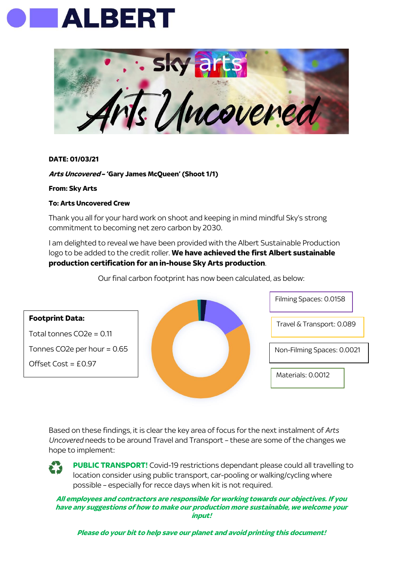



## **DATE: 01/03/21**

## **Arts Uncovered – 'Gary James McQueen' (Shoot 1/1)**

**From: Sky Arts** 

## **To: Arts Uncovered Crew**

Thank you all for your hard work on shoot and keeping in mind mindful Sky's strong commitment to becoming net zero carbon by 2030.

I am delighted to reveal we have been provided with the Albert Sustainable Production logo to be added to the credit roller. **We have achieved the first Albert sustainable production certification for an in-house Sky Arts production**.

Travel & Transport: 0.089 Filming Spaces: 0.0158 Non-Filming Spaces: 0.0021 Materials: 0.0012 **Footprint Data:** Total tonnes CO2e = 0.11 Tonnes CO2e per hour = 0.65 Offset Cost = £0.97

Our final carbon footprint has now been calculated, as below:

Based on these findings, it is clear the key area of focus for the next instalment of *Arts Uncovered* needs to be around Travel and Transport – these are some of the changes we hope to implement:

**PUBLIC TRANSPORT!** Covid-19 restrictions dependant please could all travelling to location consider using public transport, car-pooling or walking/cycling where possible – especially for recce days when kit is not required.

**All employees and contractors are responsible for working towards our objectives. If you have any suggestions of how to make our production more sustainable, we welcome your input!**

**Please do your bit to help save our planet and avoid printing this document!**